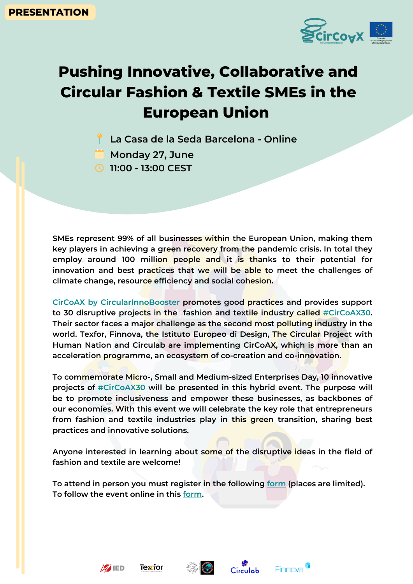## **Pushing Innovative, Collaborative and Circular Fashion & Textile SMEs in the European Union**

- **La Casa de la Seda Barcelona - Online**
- **Monday 27, June**
- **11:00 - 13:00 CEST**

**SMEs represent 99% of all businesses within the European Union, making them key players in achieving a green recovery from the pandemic crisis. In total they employ around 100 million people and it is thanks to their potential for innovation and best practices that we will be able to meet the challenges of climate change, resource efficiency and social cohesion.**

**CirCoAX by CircularInnoBooster promotes good practices and provides support to 30 disruptive projects in the fashion and textile industry called #CirCoAX30. Their sector faces a major challenge as the second most polluting industry in the world. Texfor, Finnova, the Istituto Europeo di Design, The Circular Project with Human Nation and Circulab are implementing CirCoAX, which is more than an acceleration programme, an ecosystem of co-creation and co-innovation.**

**To commemorate Micro-, Small and Medium-sized Enterprises Day, 10 innovative projects of #CirCoAX30 will be presented in this hybrid event. The purpose will be to promote inclusiveness and empower these businesses, as backbones of our economies. With this event we will celebrate the key role that entrepreneurs from fashion and textile industries play in this green transition, sharing best practices and innovative solutions.**

**Anyone interested in learning about some of the disruptive ideas in the field of fashion and textile are welcome!**

**To attend in person you must register in the following [form](https://www.eventbrite.es/e/358372410527) (places are limited). To follow the event online in this [form](https://www.eventbrite.es/e/358367686397).**